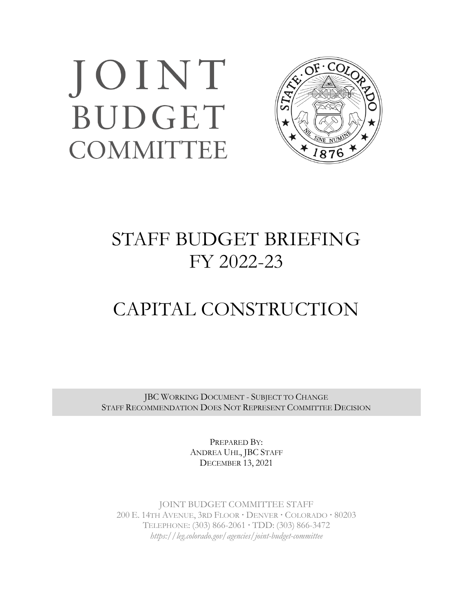# JOINT BUDGET **COMMITTEE**



## STAFF BUDGET BRIEFING FY 2022-23

## CAPITAL CONSTRUCTION

JBC WORKING DOCUMENT - SUBJECT TO CHANGE STAFF RECOMMENDATION DOES NOT REPRESENT COMMITTEE DECISION

> PREPARED BY: ANDREA UHL, JBC STAFF DECEMBER 13, 2021

JOINT BUDGET COMMITTEE STAFF 200 E. 14TH AVENUE, 3RD FLOOR **·** DENVER **·** COLORADO **·** 80203 TELEPHONE: (303) 866-2061 **·** TDD: (303) 866-3472 *https://leg.colorado.gov/agencies/joint-budget-committee*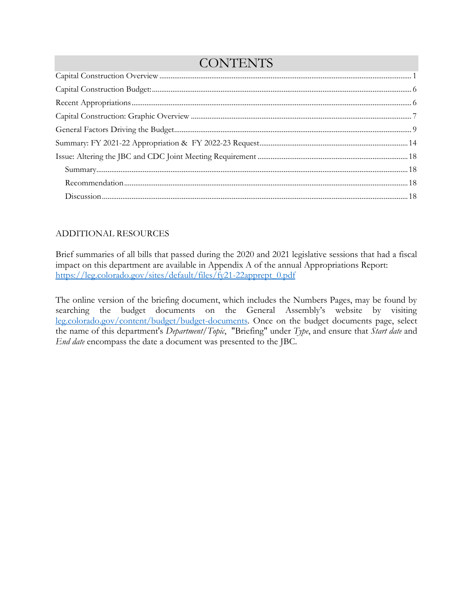## **CONTENTS**

## ADDITIONAL RESOURCES

Brief summaries of all bills that passed during the 2020 and 2021 legislative sessions that had a fiscal impact on this department are available in Appendix A of the annual Appropriations Report: [https://leg.colorado.gov/sites/default/files/fy21-22apprept\\_0.pdf](https://leg.colorado.gov/sites/default/files/fy21-22apprept_0.pdf)

The online version of the briefing document, which includes the Numbers Pages, may be found by searching the budget documents on the General Assembly's website by visiting [leg.colorado.gov/content/budget/budget-documents.](file://///Sedgwick/SHAREDIR.ALL/JBC/01%20Briefings/aInstructions%20and%20Templates/leg.colorado.gov/content/budget/budget-documents) Once on the budget documents page, select the name of this department's *Department/Topic*, "Briefing" under *Type*, and ensure that *Start date* and *End date* encompass the date a document was presented to the JBC.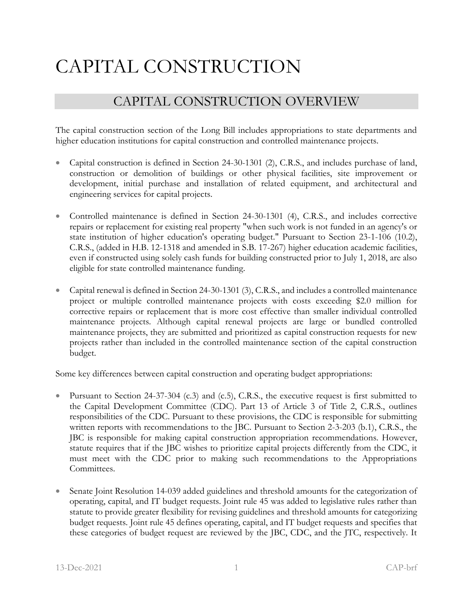## CAPITAL CONSTRUCTION

## CAPITAL CONSTRUCTION OVERVIEW

<span id="page-2-0"></span>The capital construction section of the Long Bill includes appropriations to state departments and higher education institutions for capital construction and controlled maintenance projects.

- Capital construction is defined in Section 24-30-1301 (2), C.R.S., and includes purchase of land, construction or demolition of buildings or other physical facilities, site improvement or development, initial purchase and installation of related equipment, and architectural and engineering services for capital projects.
- Controlled maintenance is defined in Section 24-30-1301 (4), C.R.S., and includes corrective repairs or replacement for existing real property "when such work is not funded in an agency's or state institution of higher education's operating budget." Pursuant to Section 23-1-106 (10.2), C.R.S., (added in H.B. 12-1318 and amended in S.B. 17-267) higher education academic facilities, even if constructed using solely cash funds for building constructed prior to July 1, 2018, are also eligible for state controlled maintenance funding.
- Capital renewal is defined in Section 24-30-1301 (3), C.R.S., and includes a controlled maintenance project or multiple controlled maintenance projects with costs exceeding \$2.0 million for corrective repairs or replacement that is more cost effective than smaller individual controlled maintenance projects. Although capital renewal projects are large or bundled controlled maintenance projects, they are submitted and prioritized as capital construction requests for new projects rather than included in the controlled maintenance section of the capital construction budget.

Some key differences between capital construction and operating budget appropriations:

- Pursuant to Section 24-37-304 (c.3) and (c.5), C.R.S., the executive request is first submitted to the Capital Development Committee (CDC). Part 13 of Article 3 of Title 2, C.R.S., outlines responsibilities of the CDC. Pursuant to these provisions, the CDC is responsible for submitting written reports with recommendations to the JBC. Pursuant to Section 2-3-203 (b.1), C.R.S., the JBC is responsible for making capital construction appropriation recommendations. However, statute requires that if the JBC wishes to prioritize capital projects differently from the CDC, it must meet with the CDC prior to making such recommendations to the Appropriations Committees.
- Senate Joint Resolution 14-039 added guidelines and threshold amounts for the categorization of operating, capital, and IT budget requests. Joint rule 45 was added to legislative rules rather than statute to provide greater flexibility for revising guidelines and threshold amounts for categorizing budget requests. Joint rule 45 defines operating, capital, and IT budget requests and specifies that these categories of budget request are reviewed by the JBC, CDC, and the JTC, respectively. It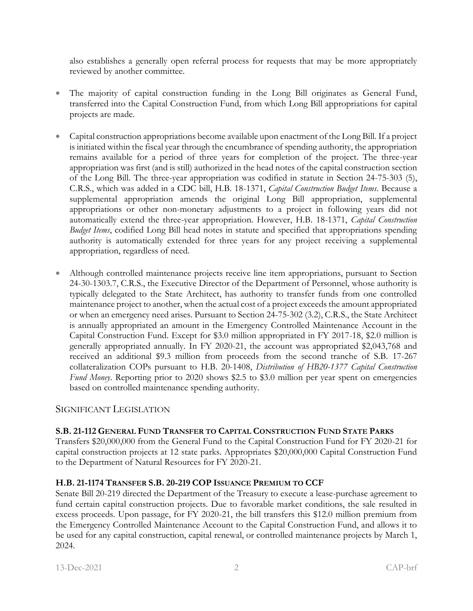also establishes a generally open referral process for requests that may be more appropriately reviewed by another committee.

- The majority of capital construction funding in the Long Bill originates as General Fund, transferred into the Capital Construction Fund, from which Long Bill appropriations for capital projects are made.
- Capital construction appropriations become available upon enactment of the Long Bill. If a project is initiated within the fiscal year through the encumbrance of spending authority, the appropriation remains available for a period of three years for completion of the project. The three-year appropriation was first (and is still) authorized in the head notes of the capital construction section of the Long Bill. The three-year appropriation was codified in statute in Section 24-75-303 (5), C.R.S., which was added in a CDC bill, H.B. 18-1371, *Capital Construction Budget Items*. Because a supplemental appropriation amends the original Long Bill appropriation, supplemental appropriations or other non-monetary adjustments to a project in following years did not automatically extend the three-year appropriation. However, H.B. 18-1371, *Capital Construction Budget Items*, codified Long Bill head notes in statute and specified that appropriations spending authority is automatically extended for three years for any project receiving a supplemental appropriation, regardless of need.
- Although controlled maintenance projects receive line item appropriations, pursuant to Section 24-30-1303.7, C.R.S., the Executive Director of the Department of Personnel, whose authority is typically delegated to the State Architect, has authority to transfer funds from one controlled maintenance project to another, when the actual cost of a project exceeds the amount appropriated or when an emergency need arises. Pursuant to Section 24-75-302 (3.2), C.R.S., the State Architect is annually appropriated an amount in the Emergency Controlled Maintenance Account in the Capital Construction Fund. Except for \$3.0 million appropriated in FY 2017-18, \$2.0 million is generally appropriated annually. In FY 2020-21, the account was appropriated \$2,043,768 and received an additional \$9.3 million from proceeds from the second tranche of S.B. 17-267 collateralization COPs pursuant to H.B. 20-1408, *Distribution of HB20-1377 Capital Construction Fund Money*. Reporting prior to 2020 shows \$2.5 to \$3.0 million per year spent on emergencies based on controlled maintenance spending authority.

## SIGNIFICANT LEGISLATION

## **S.B. 21-112 GENERAL FUND TRANSFER TO CAPITAL CONSTRUCTION FUND STATE PARKS**

Transfers \$20,000,000 from the General Fund to the Capital Construction Fund for FY 2020-21 for capital construction projects at 12 state parks. Appropriates \$20,000,000 Capital Construction Fund to the Department of Natural Resources for FY 2020-21.

## **H.B. 21-1174 TRANSFER S.B. 20-219 COP ISSUANCE PREMIUM TO CCF**

Senate Bill 20-219 directed the Department of the Treasury to execute a lease-purchase agreement to fund certain capital construction projects. Due to favorable market conditions, the sale resulted in excess proceeds. Upon passage, for FY 2020-21, the bill transfers this \$12.0 million premium from the Emergency Controlled Maintenance Account to the Capital Construction Fund, and allows it to be used for any capital construction, capital renewal, or controlled maintenance projects by March 1, 2024.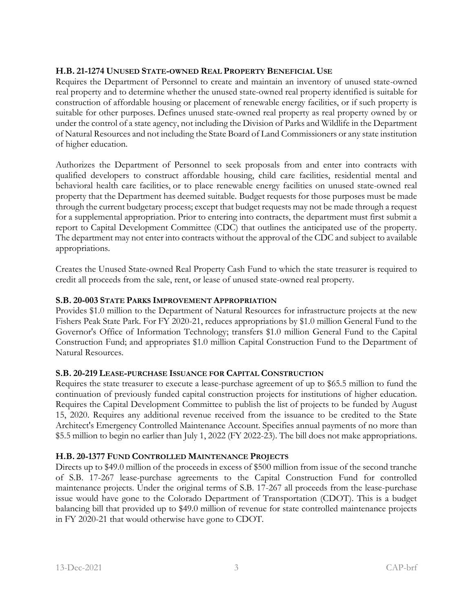### **H.B. 21-1274 UNUSED STATE-OWNED REAL PROPERTY BENEFICIAL USE**

Requires the Department of Personnel to create and maintain an inventory of unused state-owned real property and to determine whether the unused state-owned real property identified is suitable for construction of affordable housing or placement of renewable energy facilities, or if such property is suitable for other purposes. Defines unused state-owned real property as real property owned by or under the control of a state agency, not including the Division of Parks and Wildlife in the Department of Natural Resources and not including the State Board of Land Commissioners or any state institution of higher education.

Authorizes the Department of Personnel to seek proposals from and enter into contracts with qualified developers to construct affordable housing, child care facilities, residential mental and behavioral health care facilities, or to place renewable energy facilities on unused state-owned real property that the Department has deemed suitable. Budget requests for those purposes must be made through the current budgetary process; except that budget requests may not be made through a request for a supplemental appropriation. Prior to entering into contracts, the department must first submit a report to Capital Development Committee (CDC) that outlines the anticipated use of the property. The department may not enter into contracts without the approval of the CDC and subject to available appropriations.

Creates the Unused State-owned Real Property Cash Fund to which the state treasurer is required to credit all proceeds from the sale, rent, or lease of unused state-owned real property.

### **S.B. 20-003 STATE PARKS IMPROVEMENT APPROPRIATION**

Provides \$1.0 million to the Department of Natural Resources for infrastructure projects at the new Fishers Peak State Park. For FY 2020-21, reduces appropriations by \$1.0 million General Fund to the Governor's Office of Information Technology; transfers \$1.0 million General Fund to the Capital Construction Fund; and appropriates \$1.0 million Capital Construction Fund to the Department of Natural Resources.

#### **S.B. 20-219 LEASE-PURCHASE ISSUANCE FOR CAPITAL CONSTRUCTION**

Requires the state treasurer to execute a lease-purchase agreement of up to \$65.5 million to fund the continuation of previously funded capital construction projects for institutions of higher education. Requires the Capital Development Committee to publish the list of projects to be funded by August 15, 2020. Requires any additional revenue received from the issuance to be credited to the State Architect's Emergency Controlled Maintenance Account. Specifies annual payments of no more than \$5.5 million to begin no earlier than July 1, 2022 (FY 2022-23). The bill does not make appropriations.

## **H.B. 20-1377 FUND CONTROLLED MAINTENANCE PROJECTS**

Directs up to \$49.0 million of the proceeds in excess of \$500 million from issue of the second tranche of S.B. 17-267 lease-purchase agreements to the Capital Construction Fund for controlled maintenance projects. Under the original terms of S.B. 17-267 all proceeds from the lease-purchase issue would have gone to the Colorado Department of Transportation (CDOT). This is a budget balancing bill that provided up to \$49.0 million of revenue for state controlled maintenance projects in FY 2020-21 that would otherwise have gone to CDOT.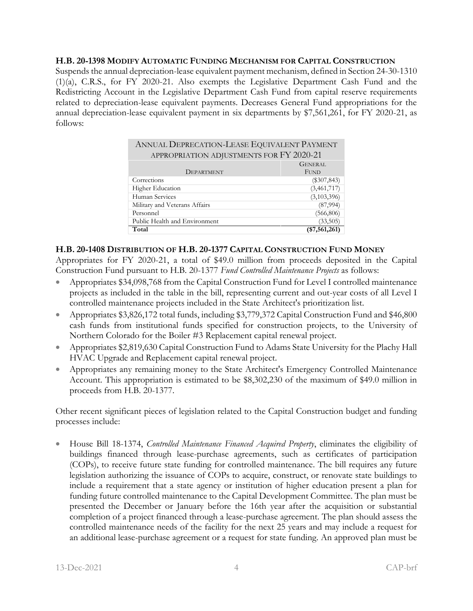#### **H.B. 20-1398 MODIFY AUTOMATIC FUNDING MECHANISM FOR CAPITAL CONSTRUCTION**

Suspends the annual depreciation-lease equivalent payment mechanism, defined in Section 24-30-1310 (1)(a), C.R.S., for FY 2020-21. Also exempts the Legislative Department Cash Fund and the Redistricting Account in the Legislative Department Cash Fund from capital reserve requirements related to depreciation-lease equivalent payments. Decreases General Fund appropriations for the annual depreciation-lease equivalent payment in six departments by \$7,561,261, for FY 2020-21, as follows:

| ANNUAL DEPRECATION-LEASE EQUIVALENT PAYMENT |                |  |  |  |  |  |
|---------------------------------------------|----------------|--|--|--|--|--|
| APPROPRIATION ADJUSTMENTS FOR FY 2020-21    |                |  |  |  |  |  |
|                                             | <b>GENERAL</b> |  |  |  |  |  |
| DEPARTMENT                                  | <b>FUND</b>    |  |  |  |  |  |
| Corrections                                 | $(\$307,843)$  |  |  |  |  |  |
| Higher Education                            | (3,461,717)    |  |  |  |  |  |
| Human Services                              | (3,103,396)    |  |  |  |  |  |
| Military and Veterans Affairs               | (87,994)       |  |  |  |  |  |
| Personnel                                   | (566, 806)     |  |  |  |  |  |
| Public Health and Environment               | (33,505)       |  |  |  |  |  |
| Total                                       | (\$7,561,261)  |  |  |  |  |  |

#### **H.B. 20-1408 DISTRIBUTION OF H.B. 20-1377 CAPITAL CONSTRUCTION FUND MONEY**

Appropriates for FY 2020-21, a total of \$49.0 million from proceeds deposited in the Capital Construction Fund pursuant to H.B. 20-1377 *Fund Controlled Maintenance Projects* as follows:

- Appropriates \$34,098,768 from the Capital Construction Fund for Level I controlled maintenance projects as included in the table in the bill, representing current and out-year costs of all Level I controlled maintenance projects included in the State Architect's prioritization list.
- Appropriates \$3,826,172 total funds, including \$3,779,372 Capital Construction Fund and \$46,800 cash funds from institutional funds specified for construction projects, to the University of Northern Colorado for the Boiler #3 Replacement capital renewal project.
- Appropriates \$2,819,630 Capital Construction Fund to Adams State University for the Plachy Hall HVAC Upgrade and Replacement capital renewal project.
- Appropriates any remaining money to the State Architect's Emergency Controlled Maintenance Account. This appropriation is estimated to be \$8,302,230 of the maximum of \$49.0 million in proceeds from H.B. 20-1377.

Other recent significant pieces of legislation related to the Capital Construction budget and funding processes include:

 House Bill 18-1374, *Controlled Maintenance Financed Acquired Property*, eliminates the eligibility of buildings financed through lease-purchase agreements, such as certificates of participation (COPs), to receive future state funding for controlled maintenance. The bill requires any future legislation authorizing the issuance of COPs to acquire, construct, or renovate state buildings to include a requirement that a state agency or institution of higher education present a plan for funding future controlled maintenance to the Capital Development Committee. The plan must be presented the December or January before the 16th year after the acquisition or substantial completion of a project financed through a lease-purchase agreement. The plan should assess the controlled maintenance needs of the facility for the next 25 years and may include a request for an additional lease-purchase agreement or a request for state funding. An approved plan must be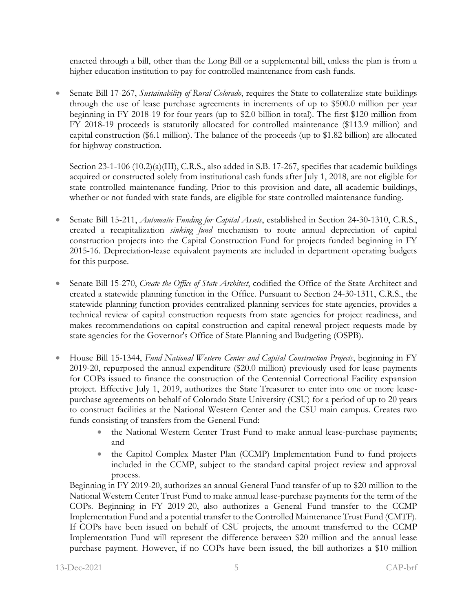enacted through a bill, other than the Long Bill or a supplemental bill, unless the plan is from a higher education institution to pay for controlled maintenance from cash funds.

 Senate Bill 17-267, *Sustainability of Rural Colorado*, requires the State to collateralize state buildings through the use of lease purchase agreements in increments of up to \$500.0 million per year beginning in FY 2018-19 for four years (up to \$2.0 billion in total). The first \$120 million from FY 2018-19 proceeds is statutorily allocated for controlled maintenance (\$113.9 million) and capital construction (\$6.1 million). The balance of the proceeds (up to \$1.82 billion) are allocated for highway construction.

Section 23-1-106 (10.2)(a)(III), C.R.S., also added in S.B. 17-267, specifies that academic buildings acquired or constructed solely from institutional cash funds after July 1, 2018, are not eligible for state controlled maintenance funding. Prior to this provision and date, all academic buildings, whether or not funded with state funds, are eligible for state controlled maintenance funding.

- Senate Bill 15-211, *Automatic Funding for Capital Assets*, established in Section 24-30-1310, C.R.S., created a recapitalization *sinking fund* mechanism to route annual depreciation of capital construction projects into the Capital Construction Fund for projects funded beginning in FY 2015-16. Depreciation-lease equivalent payments are included in department operating budgets for this purpose.
- Senate Bill 15-270, *Create the Office of State Architect*, codified the Office of the State Architect and created a statewide planning function in the Office. Pursuant to Section 24-30-1311, C.R.S., the statewide planning function provides centralized planning services for state agencies, provides a technical review of capital construction requests from state agencies for project readiness, and makes recommendations on capital construction and capital renewal project requests made by state agencies for the Governor's Office of State Planning and Budgeting (OSPB).
- House Bill 15-1344, *Fund National Western Center and Capital Construction Projects*, beginning in FY 2019-20, repurposed the annual expenditure (\$20.0 million) previously used for lease payments for COPs issued to finance the construction of the Centennial Correctional Facility expansion project. Effective July 1, 2019, authorizes the State Treasurer to enter into one or more leasepurchase agreements on behalf of Colorado State University (CSU) for a period of up to 20 years to construct facilities at the National Western Center and the CSU main campus. Creates two funds consisting of transfers from the General Fund:
	- the National Western Center Trust Fund to make annual lease-purchase payments; and
	- the Capitol Complex Master Plan (CCMP) Implementation Fund to fund projects included in the CCMP, subject to the standard capital project review and approval process.

Beginning in FY 2019-20, authorizes an annual General Fund transfer of up to \$20 million to the National Western Center Trust Fund to make annual lease-purchase payments for the term of the COPs. Beginning in FY 2019-20, also authorizes a General Fund transfer to the CCMP Implementation Fund and a potential transfer to the Controlled Maintenance Trust Fund (CMTF). If COPs have been issued on behalf of CSU projects, the amount transferred to the CCMP Implementation Fund will represent the difference between \$20 million and the annual lease purchase payment. However, if no COPs have been issued, the bill authorizes a \$10 million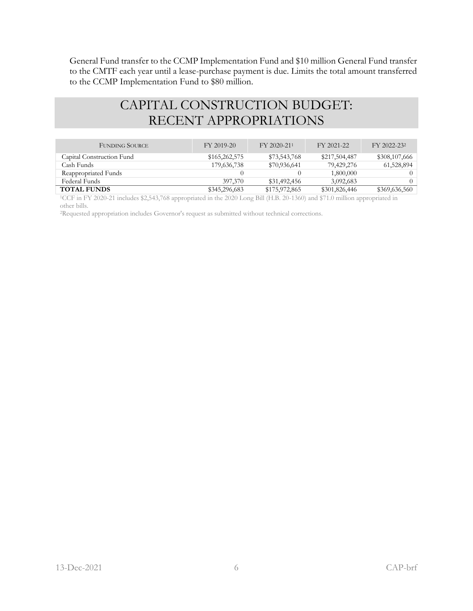General Fund transfer to the CCMP Implementation Fund and \$10 million General Fund transfer to the CMTF each year until a lease-purchase payment is due. Limits the total amount transferred to the CCMP Implementation Fund to \$80 million.

## CAPITAL CONSTRUCTION BUDGET: RECENT APPROPRIATIONS

<span id="page-7-1"></span><span id="page-7-0"></span>

| <b>FUNDING SOURCE</b>     | FY 2019-20    | FY 2020-211   | FY 2021-22    | FY 2022-232   |
|---------------------------|---------------|---------------|---------------|---------------|
| Capital Construction Fund | \$165,262,575 | \$73,543,768  | \$217,504,487 | \$308,107,666 |
| Cash Funds                | 179,636,738   | \$70,936,641  | 79,429,276    | 61,528,894    |
| Reappropriated Funds      |               |               | 1,800,000     | $\theta$      |
| Federal Funds             | 397,370       | \$31,492,456  | 3.092.683     | $\Omega$      |
| <b>TOTAL FUNDS</b>        | \$345,296,683 | \$175,972,865 | \$301,826,446 | \$369,636,560 |

<sup>1</sup>CCF in FY 2020-21 includes \$2,543,768 appropriated in the 2020 Long Bill (H.B. 20-1360) and \$71.0 million appropriated in other bills.

<sup>2</sup>Requested appropriation includes Governor's request as submitted without technical corrections.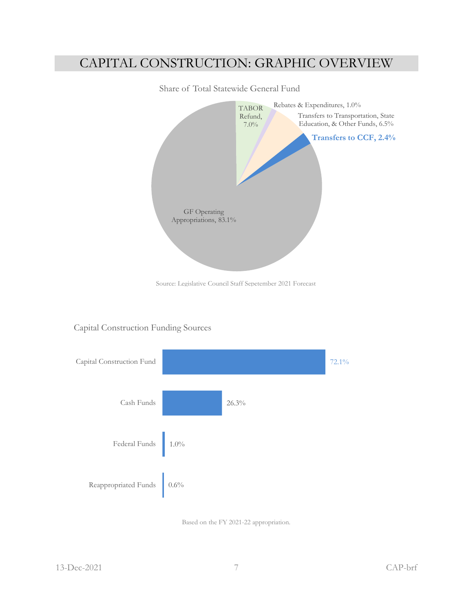## <span id="page-8-0"></span>CAPITAL CONSTRUCTION: GRAPHIC OVERVIEW



Share of Total Statewide General Fund

Source: Legislative Council Staff Sepetember 2021 Forecast



### Capital Construction Funding Sources

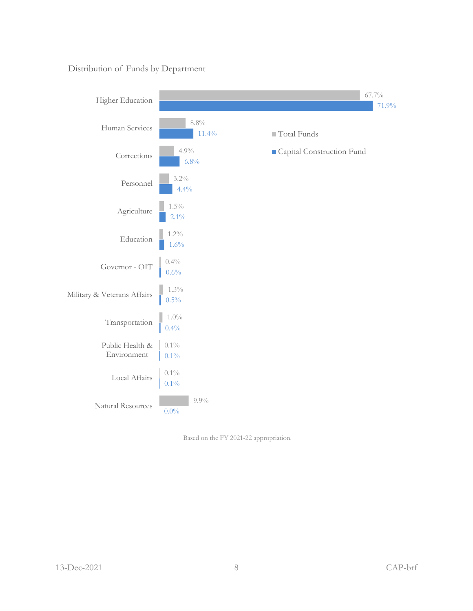Distribution of Funds by Department



Based on the FY 2021-22 appropriation.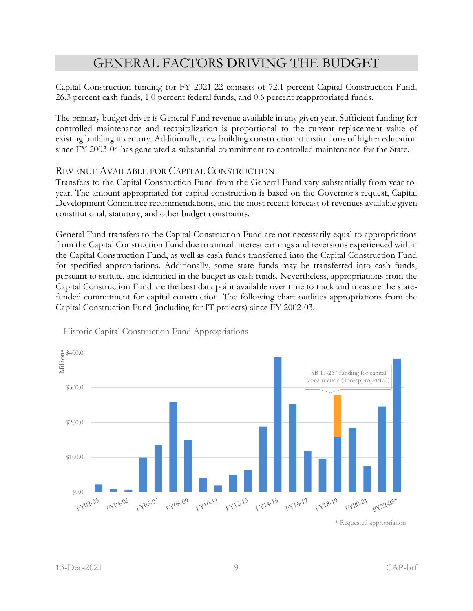## GENERAL FACTORS DRIVING THE BUDGET

<span id="page-10-0"></span>Capital Construction funding for FY 2021-22 consists of 72.1 percent Capital Construction Fund, 26.3 percent cash funds, 1.0 percent federal funds, and 0.6 percent reappropriated funds.

The primary budget driver is General Fund revenue available in any given year. Sufficient funding for controlled maintenance and recapitalization is proportional to the current replacement value of existing building inventory. Additionally, new building construction at institutions of higher education since FY 2003-04 has generated a substantial commitment to controlled maintenance for the State.

#### REVENUE AVAILABLE FOR CAPITAL CONSTRUCTION

Transfers to the Capital Construction Fund from the General Fund vary substantially from year-toyear. The amount appropriated for capital construction is based on the Governor's request, Capital Development Committee recommendations, and the most recent forecast of revenues available given constitutional, statutory, and other budget constraints.

General Fund transfers to the Capital Construction Fund are not necessarily equal to appropriations from the Capital Construction Fund due to annual interest earnings and reversions experienced within the Capital Construction Fund, as well as cash funds transferred into the Capital Construction Fund for specified appropriations. Additionally, some state funds may be transferred into cash funds, pursuant to statute, and identified in the budget as cash funds. Nevertheless, appropriations from the Capital Construction Fund are the best data point available over time to track and measure the statefunded commitment for capital construction. The following chart outlines appropriations from the Capital Construction Fund (including for IT projects) since FY 2002-03.



Historic Capital Construction Fund Appropriations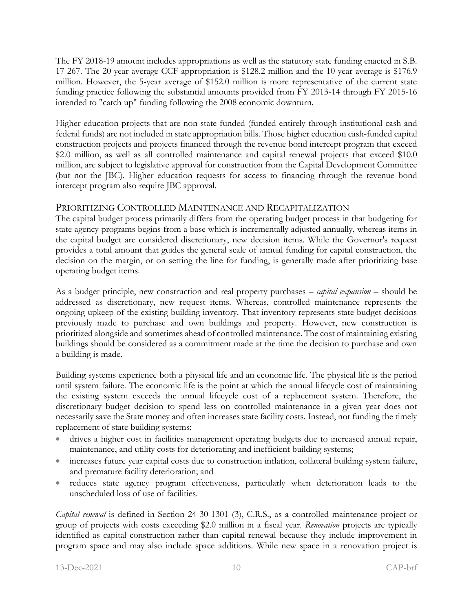The FY 2018-19 amount includes appropriations as well as the statutory state funding enacted in S.B. 17-267. The 20-year average CCF appropriation is \$128.2 million and the 10-year average is \$176.9 million. However, the 5-year average of \$152.0 million is more representative of the current state funding practice following the substantial amounts provided from FY 2013-14 through FY 2015-16 intended to "catch up" funding following the 2008 economic downturn.

Higher education projects that are non-state-funded (funded entirely through institutional cash and federal funds) are not included in state appropriation bills. Those higher education cash-funded capital construction projects and projects financed through the revenue bond intercept program that exceed \$2.0 million, as well as all controlled maintenance and capital renewal projects that exceed \$10.0 million, are subject to legislative approval for construction from the Capital Development Committee (but not the JBC). Higher education requests for access to financing through the revenue bond intercept program also require JBC approval.

## PRIORITIZING CONTROLLED MAINTENANCE AND RECAPITALIZATION

The capital budget process primarily differs from the operating budget process in that budgeting for state agency programs begins from a base which is incrementally adjusted annually, whereas items in the capital budget are considered discretionary, new decision items. While the Governor's request provides a total amount that guides the general scale of annual funding for capital construction, the decision on the margin, or on setting the line for funding, is generally made after prioritizing base operating budget items.

As a budget principle, new construction and real property purchases – *capital expansion* – should be addressed as discretionary, new request items. Whereas, controlled maintenance represents the ongoing upkeep of the existing building inventory. That inventory represents state budget decisions previously made to purchase and own buildings and property. However, new construction is prioritized alongside and sometimes ahead of controlled maintenance. The cost of maintaining existing buildings should be considered as a commitment made at the time the decision to purchase and own a building is made.

Building systems experience both a physical life and an economic life. The physical life is the period until system failure. The economic life is the point at which the annual lifecycle cost of maintaining the existing system exceeds the annual lifecycle cost of a replacement system. Therefore, the discretionary budget decision to spend less on controlled maintenance in a given year does not necessarily save the State money and often increases state facility costs. Instead, not funding the timely replacement of state building systems:

- drives a higher cost in facilities management operating budgets due to increased annual repair, maintenance, and utility costs for deteriorating and inefficient building systems;
- increases future year capital costs due to construction inflation, collateral building system failure, and premature facility deterioration; and
- reduces state agency program effectiveness, particularly when deterioration leads to the unscheduled loss of use of facilities.

*Capital renewal* is defined in Section 24-30-1301 (3), C.R.S., as a controlled maintenance project or group of projects with costs exceeding \$2.0 million in a fiscal year. *Renovation* projects are typically identified as capital construction rather than capital renewal because they include improvement in program space and may also include space additions. While new space in a renovation project is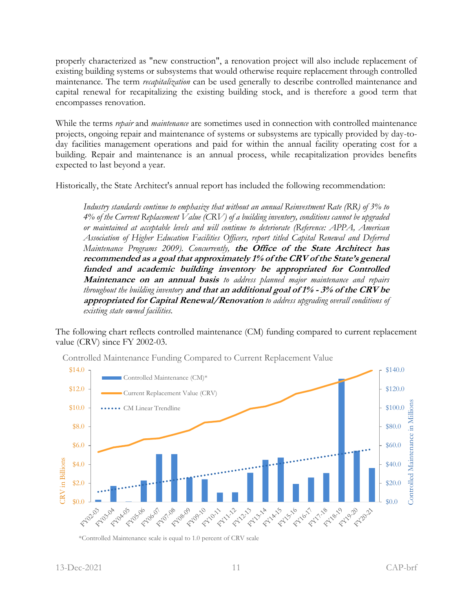properly characterized as "new construction", a renovation project will also include replacement of existing building systems or subsystems that would otherwise require replacement through controlled maintenance. The term *recapitalization* can be used generally to describe controlled maintenance and capital renewal for recapitalizing the existing building stock, and is therefore a good term that encompasses renovation.

While the terms *repair* and *maintenance* are sometimes used in connection with controlled maintenance projects, ongoing repair and maintenance of systems or subsystems are typically provided by day-today facilities management operations and paid for within the annual facility operating cost for a building. Repair and maintenance is an annual process, while recapitalization provides benefits expected to last beyond a year.

Historically, the State Architect's annual report has included the following recommendation:

*Industry standards continue to emphasize that without an annual Reinvestment Rate (RR) of 3% to 4% of the Current Replacement Value (CRV) of a building inventory, conditions cannot be upgraded or maintained at acceptable levels and will continue to deteriorate (Reference: APPA, American Association of Higher Education Facilities Officers, report titled Capital Renewal and Deferred Maintenance Programs 2009). Concurrently,* **the Office of the State Architect has recommended as a goal that approximately 1% of the CRV of the State's general funded and academic building inventory be appropriated for Controlled Maintenance on an annual basis** *to address planned major maintenance and repairs throughout the building inventory* **and that an additional goal of 1% - 3% of the CRV be appropriated for Capital Renewal/Renovation** *to address upgrading overall conditions of existing state owned facilities.*

The following chart reflects controlled maintenance (CM) funding compared to current replacement value (CRV) since FY 2002-03.



Controlled Maintenance Funding Compared to Current Replacement Value

\*Controlled Maintenance scale is equal to 1.0 percent of CRV scale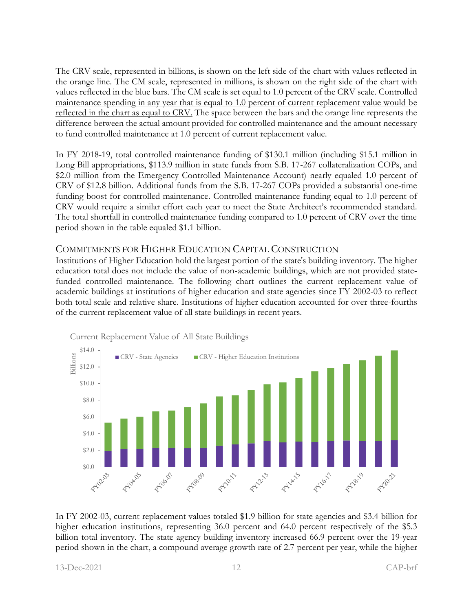The CRV scale, represented in billions, is shown on the left side of the chart with values reflected in the orange line. The CM scale, represented in millions, is shown on the right side of the chart with values reflected in the blue bars. The CM scale is set equal to 1.0 percent of the CRV scale. Controlled maintenance spending in any year that is equal to 1.0 percent of current replacement value would be reflected in the chart as equal to CRV. The space between the bars and the orange line represents the difference between the actual amount provided for controlled maintenance and the amount necessary to fund controlled maintenance at 1.0 percent of current replacement value.

In FY 2018-19, total controlled maintenance funding of \$130.1 million (including \$15.1 million in Long Bill appropriations, \$113.9 million in state funds from S.B. 17-267 collateralization COPs, and \$2.0 million from the Emergency Controlled Maintenance Account) nearly equaled 1.0 percent of CRV of \$12.8 billion. Additional funds from the S.B. 17-267 COPs provided a substantial one-time funding boost for controlled maintenance. Controlled maintenance funding equal to 1.0 percent of CRV would require a similar effort each year to meet the State Architect's recommended standard. The total shortfall in controlled maintenance funding compared to 1.0 percent of CRV over the time period shown in the table equaled \$1.1 billion.

## COMMITMENTS FOR HIGHER EDUCATION CAPITAL CONSTRUCTION

Institutions of Higher Education hold the largest portion of the state's building inventory. The higher education total does not include the value of non-academic buildings, which are not provided statefunded controlled maintenance. The following chart outlines the current replacement value of academic buildings at institutions of higher education and state agencies since FY 2002-03 to reflect both total scale and relative share. Institutions of higher education accounted for over three-fourths of the current replacement value of all state buildings in recent years.



Current Replacement Value of All State Buildings

In FY 2002-03, current replacement values totaled \$1.9 billion for state agencies and \$3.4 billion for higher education institutions, representing 36.0 percent and 64.0 percent respectively of the \$5.3 billion total inventory. The state agency building inventory increased 66.9 percent over the 19-year period shown in the chart, a compound average growth rate of 2.7 percent per year, while the higher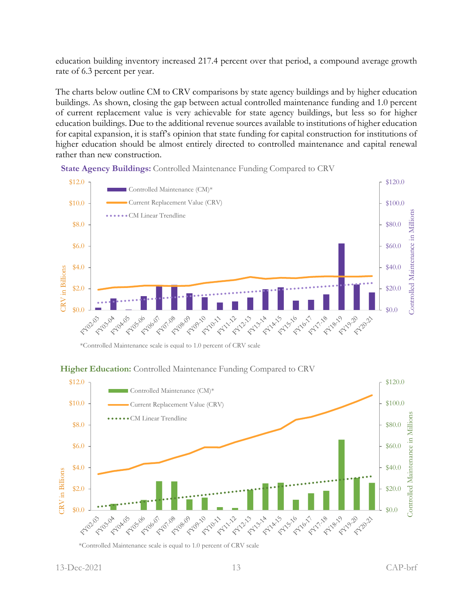education building inventory increased 217.4 percent over that period, a compound average growth rate of 6.3 percent per year.

The charts below outline CM to CRV comparisons by state agency buildings and by higher education buildings. As shown, closing the gap between actual controlled maintenance funding and 1.0 percent of current replacement value is very achievable for state agency buildings, but less so for higher education buildings. Due to the additional revenue sources available to institutions of higher education for capital expansion, it is staff's opinion that state funding for capital construction for institutions of higher education should be almost entirely directed to controlled maintenance and capital renewal rather than new construction.

**State Agency Buildings:** Controlled Maintenance Funding Compared to CRV



\*Controlled Maintenance scale is equal to 1.0 percent of CRV scale

#### **Higher Education:** Controlled Maintenance Funding Compared to CRV



\*Controlled Maintenance scale is equal to 1.0 percent of CRV scale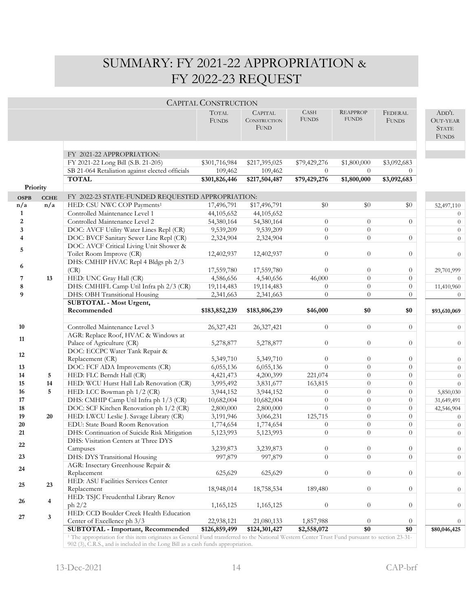## <span id="page-15-0"></span>SUMMARY: FY 2021-22 APPROPRIATION & FY 2022-23 REQUEST

|    |                                                       | <b>CAPITAL CONSTRUCTION</b>                                                                                                                                                                                                                                                                                                                                                                                                                                                                                                                                                                                                                                                                                                                                                                                                                                                |                                                                                                                                                                                                                       |                                                                                                                                                                                                                                                                               |                                                                                                                                                                               |                                                                                                                                                                                                |                                                                                                                                                                                         |
|----|-------------------------------------------------------|----------------------------------------------------------------------------------------------------------------------------------------------------------------------------------------------------------------------------------------------------------------------------------------------------------------------------------------------------------------------------------------------------------------------------------------------------------------------------------------------------------------------------------------------------------------------------------------------------------------------------------------------------------------------------------------------------------------------------------------------------------------------------------------------------------------------------------------------------------------------------|-----------------------------------------------------------------------------------------------------------------------------------------------------------------------------------------------------------------------|-------------------------------------------------------------------------------------------------------------------------------------------------------------------------------------------------------------------------------------------------------------------------------|-------------------------------------------------------------------------------------------------------------------------------------------------------------------------------|------------------------------------------------------------------------------------------------------------------------------------------------------------------------------------------------|-----------------------------------------------------------------------------------------------------------------------------------------------------------------------------------------|
|    |                                                       | <b>TOTAL</b><br><b>FUNDS</b>                                                                                                                                                                                                                                                                                                                                                                                                                                                                                                                                                                                                                                                                                                                                                                                                                                               | <b>CAPITAL</b><br>CONSTRUCTION<br><b>FUND</b>                                                                                                                                                                         | <b>CASH</b><br><b>FUNDS</b>                                                                                                                                                                                                                                                   | <b>REAPPROP</b><br><b>FUNDS</b>                                                                                                                                               | FEDERAL<br><b>FUNDS</b>                                                                                                                                                                        | ADD'L<br><b>OUT-YEAR</b><br><b>STATE</b><br><b>FUNDS</b>                                                                                                                                |
|    |                                                       |                                                                                                                                                                                                                                                                                                                                                                                                                                                                                                                                                                                                                                                                                                                                                                                                                                                                            |                                                                                                                                                                                                                       |                                                                                                                                                                                                                                                                               |                                                                                                                                                                               |                                                                                                                                                                                                |                                                                                                                                                                                         |
|    | FY 2021-22 APPROPRIATION:                             |                                                                                                                                                                                                                                                                                                                                                                                                                                                                                                                                                                                                                                                                                                                                                                                                                                                                            |                                                                                                                                                                                                                       |                                                                                                                                                                                                                                                                               |                                                                                                                                                                               |                                                                                                                                                                                                |                                                                                                                                                                                         |
|    |                                                       |                                                                                                                                                                                                                                                                                                                                                                                                                                                                                                                                                                                                                                                                                                                                                                                                                                                                            |                                                                                                                                                                                                                       |                                                                                                                                                                                                                                                                               |                                                                                                                                                                               |                                                                                                                                                                                                |                                                                                                                                                                                         |
|    |                                                       |                                                                                                                                                                                                                                                                                                                                                                                                                                                                                                                                                                                                                                                                                                                                                                                                                                                                            |                                                                                                                                                                                                                       | $\overline{0}$                                                                                                                                                                                                                                                                | $\overline{0}$                                                                                                                                                                | $\Omega$                                                                                                                                                                                       |                                                                                                                                                                                         |
|    | <b>TOTAL</b>                                          | \$301,826,446                                                                                                                                                                                                                                                                                                                                                                                                                                                                                                                                                                                                                                                                                                                                                                                                                                                              | \$217,504,487                                                                                                                                                                                                         | \$79,429,276                                                                                                                                                                                                                                                                  | \$1,800,000                                                                                                                                                                   |                                                                                                                                                                                                |                                                                                                                                                                                         |
|    |                                                       |                                                                                                                                                                                                                                                                                                                                                                                                                                                                                                                                                                                                                                                                                                                                                                                                                                                                            |                                                                                                                                                                                                                       |                                                                                                                                                                                                                                                                               |                                                                                                                                                                               |                                                                                                                                                                                                |                                                                                                                                                                                         |
|    |                                                       |                                                                                                                                                                                                                                                                                                                                                                                                                                                                                                                                                                                                                                                                                                                                                                                                                                                                            |                                                                                                                                                                                                                       |                                                                                                                                                                                                                                                                               |                                                                                                                                                                               |                                                                                                                                                                                                |                                                                                                                                                                                         |
|    |                                                       |                                                                                                                                                                                                                                                                                                                                                                                                                                                                                                                                                                                                                                                                                                                                                                                                                                                                            |                                                                                                                                                                                                                       |                                                                                                                                                                                                                                                                               |                                                                                                                                                                               |                                                                                                                                                                                                | 52,497,110                                                                                                                                                                              |
|    |                                                       |                                                                                                                                                                                                                                                                                                                                                                                                                                                                                                                                                                                                                                                                                                                                                                                                                                                                            |                                                                                                                                                                                                                       |                                                                                                                                                                                                                                                                               |                                                                                                                                                                               |                                                                                                                                                                                                |                                                                                                                                                                                         |
|    |                                                       |                                                                                                                                                                                                                                                                                                                                                                                                                                                                                                                                                                                                                                                                                                                                                                                                                                                                            |                                                                                                                                                                                                                       |                                                                                                                                                                                                                                                                               |                                                                                                                                                                               |                                                                                                                                                                                                | $\theta$                                                                                                                                                                                |
|    |                                                       |                                                                                                                                                                                                                                                                                                                                                                                                                                                                                                                                                                                                                                                                                                                                                                                                                                                                            |                                                                                                                                                                                                                       |                                                                                                                                                                                                                                                                               |                                                                                                                                                                               |                                                                                                                                                                                                | $\theta$                                                                                                                                                                                |
|    |                                                       |                                                                                                                                                                                                                                                                                                                                                                                                                                                                                                                                                                                                                                                                                                                                                                                                                                                                            |                                                                                                                                                                                                                       |                                                                                                                                                                                                                                                                               |                                                                                                                                                                               |                                                                                                                                                                                                | $\theta$                                                                                                                                                                                |
|    |                                                       |                                                                                                                                                                                                                                                                                                                                                                                                                                                                                                                                                                                                                                                                                                                                                                                                                                                                            |                                                                                                                                                                                                                       |                                                                                                                                                                                                                                                                               |                                                                                                                                                                               |                                                                                                                                                                                                |                                                                                                                                                                                         |
|    |                                                       |                                                                                                                                                                                                                                                                                                                                                                                                                                                                                                                                                                                                                                                                                                                                                                                                                                                                            |                                                                                                                                                                                                                       |                                                                                                                                                                                                                                                                               |                                                                                                                                                                               |                                                                                                                                                                                                | $\theta$                                                                                                                                                                                |
|    |                                                       |                                                                                                                                                                                                                                                                                                                                                                                                                                                                                                                                                                                                                                                                                                                                                                                                                                                                            |                                                                                                                                                                                                                       |                                                                                                                                                                                                                                                                               |                                                                                                                                                                               |                                                                                                                                                                                                |                                                                                                                                                                                         |
|    |                                                       |                                                                                                                                                                                                                                                                                                                                                                                                                                                                                                                                                                                                                                                                                                                                                                                                                                                                            |                                                                                                                                                                                                                       |                                                                                                                                                                                                                                                                               |                                                                                                                                                                               |                                                                                                                                                                                                | 29,701,999                                                                                                                                                                              |
|    |                                                       |                                                                                                                                                                                                                                                                                                                                                                                                                                                                                                                                                                                                                                                                                                                                                                                                                                                                            |                                                                                                                                                                                                                       |                                                                                                                                                                                                                                                                               |                                                                                                                                                                               |                                                                                                                                                                                                | $\theta$                                                                                                                                                                                |
|    |                                                       |                                                                                                                                                                                                                                                                                                                                                                                                                                                                                                                                                                                                                                                                                                                                                                                                                                                                            |                                                                                                                                                                                                                       |                                                                                                                                                                                                                                                                               |                                                                                                                                                                               |                                                                                                                                                                                                | 11,410,960                                                                                                                                                                              |
|    |                                                       |                                                                                                                                                                                                                                                                                                                                                                                                                                                                                                                                                                                                                                                                                                                                                                                                                                                                            |                                                                                                                                                                                                                       |                                                                                                                                                                                                                                                                               |                                                                                                                                                                               |                                                                                                                                                                                                | $\theta$                                                                                                                                                                                |
|    |                                                       |                                                                                                                                                                                                                                                                                                                                                                                                                                                                                                                                                                                                                                                                                                                                                                                                                                                                            |                                                                                                                                                                                                                       |                                                                                                                                                                                                                                                                               |                                                                                                                                                                               |                                                                                                                                                                                                |                                                                                                                                                                                         |
|    | Recommended                                           | \$183,852,239                                                                                                                                                                                                                                                                                                                                                                                                                                                                                                                                                                                                                                                                                                                                                                                                                                                              | \$183,806,239                                                                                                                                                                                                         | \$46,000                                                                                                                                                                                                                                                                      | \$0                                                                                                                                                                           | \$0                                                                                                                                                                                            | \$93,610,069                                                                                                                                                                            |
|    |                                                       |                                                                                                                                                                                                                                                                                                                                                                                                                                                                                                                                                                                                                                                                                                                                                                                                                                                                            |                                                                                                                                                                                                                       |                                                                                                                                                                                                                                                                               |                                                                                                                                                                               |                                                                                                                                                                                                |                                                                                                                                                                                         |
|    |                                                       |                                                                                                                                                                                                                                                                                                                                                                                                                                                                                                                                                                                                                                                                                                                                                                                                                                                                            |                                                                                                                                                                                                                       |                                                                                                                                                                                                                                                                               |                                                                                                                                                                               |                                                                                                                                                                                                | $\theta$                                                                                                                                                                                |
|    |                                                       |                                                                                                                                                                                                                                                                                                                                                                                                                                                                                                                                                                                                                                                                                                                                                                                                                                                                            |                                                                                                                                                                                                                       |                                                                                                                                                                                                                                                                               |                                                                                                                                                                               |                                                                                                                                                                                                |                                                                                                                                                                                         |
|    |                                                       |                                                                                                                                                                                                                                                                                                                                                                                                                                                                                                                                                                                                                                                                                                                                                                                                                                                                            |                                                                                                                                                                                                                       |                                                                                                                                                                                                                                                                               |                                                                                                                                                                               | $\overline{0}$                                                                                                                                                                                 | $\theta$                                                                                                                                                                                |
|    |                                                       |                                                                                                                                                                                                                                                                                                                                                                                                                                                                                                                                                                                                                                                                                                                                                                                                                                                                            |                                                                                                                                                                                                                       |                                                                                                                                                                                                                                                                               |                                                                                                                                                                               |                                                                                                                                                                                                |                                                                                                                                                                                         |
|    |                                                       |                                                                                                                                                                                                                                                                                                                                                                                                                                                                                                                                                                                                                                                                                                                                                                                                                                                                            |                                                                                                                                                                                                                       |                                                                                                                                                                                                                                                                               |                                                                                                                                                                               |                                                                                                                                                                                                | $\theta$                                                                                                                                                                                |
|    |                                                       |                                                                                                                                                                                                                                                                                                                                                                                                                                                                                                                                                                                                                                                                                                                                                                                                                                                                            |                                                                                                                                                                                                                       | $\Omega$                                                                                                                                                                                                                                                                      | $\Omega$                                                                                                                                                                      | $\overline{0}$                                                                                                                                                                                 | $\theta$                                                                                                                                                                                |
| 5  |                                                       | 4,421,473                                                                                                                                                                                                                                                                                                                                                                                                                                                                                                                                                                                                                                                                                                                                                                                                                                                                  | 4,200,399                                                                                                                                                                                                             | 221,074                                                                                                                                                                                                                                                                       | $\theta$                                                                                                                                                                      | $\overline{0}$                                                                                                                                                                                 | $\theta$                                                                                                                                                                                |
|    |                                                       | 3,995,492                                                                                                                                                                                                                                                                                                                                                                                                                                                                                                                                                                                                                                                                                                                                                                                                                                                                  | 3,831,677                                                                                                                                                                                                             | 163,815                                                                                                                                                                                                                                                                       | $\boldsymbol{0}$                                                                                                                                                              | $\overline{0}$                                                                                                                                                                                 | $\theta$                                                                                                                                                                                |
| 5  | HED: LCC Bowman ph 1/2 (CR)                           | 3,944,152                                                                                                                                                                                                                                                                                                                                                                                                                                                                                                                                                                                                                                                                                                                                                                                                                                                                  | 3,944,152                                                                                                                                                                                                             | $\overline{0}$                                                                                                                                                                                                                                                                | $\boldsymbol{0}$                                                                                                                                                              | $\overline{0}$                                                                                                                                                                                 | 5,850,030                                                                                                                                                                               |
|    |                                                       | 10,682,004                                                                                                                                                                                                                                                                                                                                                                                                                                                                                                                                                                                                                                                                                                                                                                                                                                                                 | 10,682,004                                                                                                                                                                                                            | $\overline{0}$                                                                                                                                                                                                                                                                | $\theta$                                                                                                                                                                      | $\overline{0}$                                                                                                                                                                                 | 31,649,491                                                                                                                                                                              |
|    | DOC: SCF Kitchen Renovation ph 1/2 (CR)               | 2,800,000                                                                                                                                                                                                                                                                                                                                                                                                                                                                                                                                                                                                                                                                                                                                                                                                                                                                  | 2,800,000                                                                                                                                                                                                             | $\Omega$                                                                                                                                                                                                                                                                      | $\theta$                                                                                                                                                                      | $\overline{0}$                                                                                                                                                                                 | 42,546,904                                                                                                                                                                              |
| 20 | HED: LWCU Leslie J. Savage Library (CR)               | 3,191,946                                                                                                                                                                                                                                                                                                                                                                                                                                                                                                                                                                                                                                                                                                                                                                                                                                                                  | 3,066,231                                                                                                                                                                                                             | 125,715                                                                                                                                                                                                                                                                       | $\boldsymbol{0}$                                                                                                                                                              | $\overline{0}$                                                                                                                                                                                 | $\theta$                                                                                                                                                                                |
|    | EDU: State Board Room Renovation                      | 1,774,654                                                                                                                                                                                                                                                                                                                                                                                                                                                                                                                                                                                                                                                                                                                                                                                                                                                                  | 1,774,654                                                                                                                                                                                                             | $\overline{0}$                                                                                                                                                                                                                                                                | $\boldsymbol{0}$                                                                                                                                                              | $\overline{0}$                                                                                                                                                                                 | $\theta$                                                                                                                                                                                |
|    | DHS: Continuation of Suicide Risk Mitigation          | 5,123,993                                                                                                                                                                                                                                                                                                                                                                                                                                                                                                                                                                                                                                                                                                                                                                                                                                                                  | 5,123,993                                                                                                                                                                                                             | $\overline{0}$                                                                                                                                                                                                                                                                | $\theta$                                                                                                                                                                      | $\overline{0}$                                                                                                                                                                                 | $\theta$                                                                                                                                                                                |
|    | DHS: Visitation Centers at Three DYS                  |                                                                                                                                                                                                                                                                                                                                                                                                                                                                                                                                                                                                                                                                                                                                                                                                                                                                            |                                                                                                                                                                                                                       |                                                                                                                                                                                                                                                                               |                                                                                                                                                                               |                                                                                                                                                                                                |                                                                                                                                                                                         |
|    | Campuses                                              | 3,239,873                                                                                                                                                                                                                                                                                                                                                                                                                                                                                                                                                                                                                                                                                                                                                                                                                                                                  | 3,239,873                                                                                                                                                                                                             | $\boldsymbol{0}$                                                                                                                                                                                                                                                              | $\theta$                                                                                                                                                                      | $\theta$                                                                                                                                                                                       | $\theta$                                                                                                                                                                                |
|    | DHS: DYS Transitional Housing                         | 997,879                                                                                                                                                                                                                                                                                                                                                                                                                                                                                                                                                                                                                                                                                                                                                                                                                                                                    | 997,879                                                                                                                                                                                                               | $\Omega$                                                                                                                                                                                                                                                                      | $\Omega$                                                                                                                                                                      | $\Omega$                                                                                                                                                                                       | $\theta$                                                                                                                                                                                |
|    | AGR: Insectary Greenhouse Repair &                    |                                                                                                                                                                                                                                                                                                                                                                                                                                                                                                                                                                                                                                                                                                                                                                                                                                                                            |                                                                                                                                                                                                                       |                                                                                                                                                                                                                                                                               |                                                                                                                                                                               |                                                                                                                                                                                                |                                                                                                                                                                                         |
|    | Replacement                                           | 625,629                                                                                                                                                                                                                                                                                                                                                                                                                                                                                                                                                                                                                                                                                                                                                                                                                                                                    | 625,629                                                                                                                                                                                                               | $\overline{0}$                                                                                                                                                                                                                                                                | $\overline{0}$                                                                                                                                                                | $\overline{0}$                                                                                                                                                                                 | $\theta$                                                                                                                                                                                |
|    | HED: ASU Facilities Services Center                   |                                                                                                                                                                                                                                                                                                                                                                                                                                                                                                                                                                                                                                                                                                                                                                                                                                                                            |                                                                                                                                                                                                                       |                                                                                                                                                                                                                                                                               |                                                                                                                                                                               |                                                                                                                                                                                                |                                                                                                                                                                                         |
|    | Replacement                                           | 18,948,014                                                                                                                                                                                                                                                                                                                                                                                                                                                                                                                                                                                                                                                                                                                                                                                                                                                                 | 18,758,534                                                                                                                                                                                                            | 189,480                                                                                                                                                                                                                                                                       | $\overline{0}$                                                                                                                                                                | $\overline{0}$                                                                                                                                                                                 | $\theta$                                                                                                                                                                                |
|    | HED: TSJC Freudenthal Library Renov                   |                                                                                                                                                                                                                                                                                                                                                                                                                                                                                                                                                                                                                                                                                                                                                                                                                                                                            |                                                                                                                                                                                                                       |                                                                                                                                                                                                                                                                               |                                                                                                                                                                               |                                                                                                                                                                                                |                                                                                                                                                                                         |
|    | $ph\ 2/2$                                             | 1,165,125                                                                                                                                                                                                                                                                                                                                                                                                                                                                                                                                                                                                                                                                                                                                                                                                                                                                  | 1,165,125                                                                                                                                                                                                             | $\theta$                                                                                                                                                                                                                                                                      | $\overline{0}$                                                                                                                                                                | $\overline{0}$                                                                                                                                                                                 | $\theta$                                                                                                                                                                                |
|    | HED: CCD Boulder Creek Health Education               |                                                                                                                                                                                                                                                                                                                                                                                                                                                                                                                                                                                                                                                                                                                                                                                                                                                                            |                                                                                                                                                                                                                       |                                                                                                                                                                                                                                                                               |                                                                                                                                                                               |                                                                                                                                                                                                |                                                                                                                                                                                         |
|    |                                                       |                                                                                                                                                                                                                                                                                                                                                                                                                                                                                                                                                                                                                                                                                                                                                                                                                                                                            |                                                                                                                                                                                                                       | 1,857,988                                                                                                                                                                                                                                                                     | $\theta$                                                                                                                                                                      | $\overline{0}$                                                                                                                                                                                 |                                                                                                                                                                                         |
| 3  | Center of Excellence ph 3/3                           | 22,938,121                                                                                                                                                                                                                                                                                                                                                                                                                                                                                                                                                                                                                                                                                                                                                                                                                                                                 | 21,080,133                                                                                                                                                                                                            |                                                                                                                                                                                                                                                                               |                                                                                                                                                                               |                                                                                                                                                                                                | $\theta$                                                                                                                                                                                |
|    | Priority<br><b>CCHE</b><br>n/a<br>13<br>14<br>23<br>4 | FY 2021-22 Long Bill (S.B. 21-205)<br>SB 21-064 Retaliation against elected officials<br>HED: CSU NWC COP Payments <sup>1</sup><br>Controlled Maintenance Level 1<br>Controlled Maintenance Level 2<br>DOC: AVCF Utility Water Lines Repl (CR)<br>DOC: BVCF Sanitary Sewer Line Repl (CR)<br>DOC: AVCF Critical Living Unit Shower &<br>Toilet Room Improve (CR)<br>DHS: CMHIP HVAC Repl 4 Bldgs ph 2/3<br>(CR)<br>HED: UNC Gray Hall (CR)<br>DHS: CMHIFL Camp Util Infra ph 2/3 (CR)<br>DHS: OBH Transitional Housing<br><b>SUBTOTAL - Most Urgent,</b><br>Controlled Maintenance Level 3<br>AGR: Replace Roof, HVAC & Windows at<br>Palace of Agriculture (CR)<br>DOC: ECCPC Water Tank Repair &<br>Replacement (CR)<br>DOC: FCF ADA Improvements (CR)<br>HED: FLC Berndt Hall (CR)<br>HED: WCU Hurst Hall Lab Renovation (CR)<br>DHS: CMHIP Camp Util Infra ph 1/3 (CR) | \$301,716,984<br>109,462<br>17,496,791<br>44,105,652<br>54,380,164<br>9,539,209<br>2,324,904<br>12,402,937<br>17,559,780<br>4,586,656<br>19,114,483<br>2,341,663<br>26,327,421<br>5,278,877<br>5,349,710<br>6,055,136 | \$217,395,025<br>109,462<br>FY 2022-23 STATE-FUNDED REQUESTED APPROPRIATION:<br>\$17,496,791<br>44, 105, 652<br>54,380,164<br>9,539,209<br>2,324,904<br>12,402,937<br>17,559,780<br>4,540,656<br>19,114,483<br>2,341,663<br>26,327,421<br>5,278,877<br>5,349,710<br>6,055,136 | \$79,429,276<br>\$0<br>$\theta$<br>$\theta$<br>$\overline{0}$<br>$\theta$<br>$\Omega$<br>46,000<br>$\overline{0}$<br>$\overline{0}$<br>$\theta$<br>$\overline{0}$<br>$\theta$ | \$1,800,000<br>\$0<br>$\overline{0}$<br>$\theta$<br>$\overline{0}$<br>$\boldsymbol{0}$<br>$\theta$<br>$\theta$<br>$\overline{0}$<br>$\overline{0}$<br>$\boldsymbol{0}$<br>$\theta$<br>$\theta$ | \$3,092,683<br>\$3,092,683<br>\$0<br>$\theta$<br>$\overline{0}$<br>$\overline{0}$<br>$\overline{0}$<br>$\overline{0}$<br>$\overline{0}$<br>$\overline{0}$<br>$\theta$<br>$\overline{0}$ |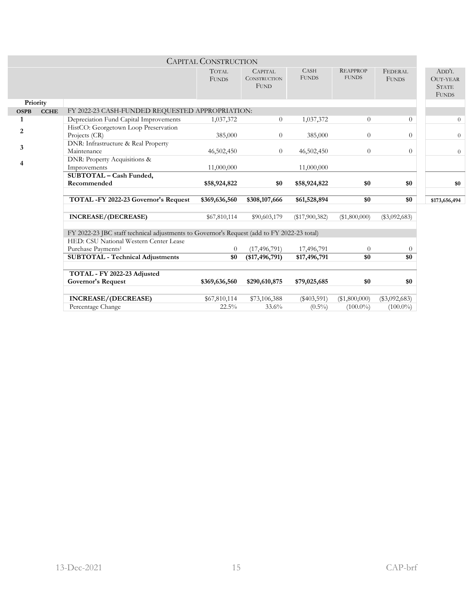|             |             |                                                                                            | <b>CAPITAL CONSTRUCTION</b>  |                                                      |                             |                                 |                         |                                                          |
|-------------|-------------|--------------------------------------------------------------------------------------------|------------------------------|------------------------------------------------------|-----------------------------|---------------------------------|-------------------------|----------------------------------------------------------|
|             |             |                                                                                            | <b>TOTAL</b><br><b>FUNDS</b> | <b>CAPITAL</b><br><b>CONSTRUCTION</b><br><b>FUND</b> | <b>CASH</b><br><b>FUNDS</b> | <b>REAPPROP</b><br><b>FUNDS</b> | FEDERAL<br><b>FUNDS</b> | ADD'L<br><b>OUT-YEAR</b><br><b>STATE</b><br><b>FUNDS</b> |
|             | Priority    |                                                                                            |                              |                                                      |                             |                                 |                         |                                                          |
| <b>OSPB</b> | <b>CCHE</b> | FY 2022-23 CASH-FUNDED REQUESTED APPROPRIATION:                                            |                              |                                                      |                             |                                 |                         |                                                          |
| 1           |             | Depreciation Fund Capital Improvements                                                     | 1,037,372                    | $\overline{0}$                                       | 1,037,372                   | $\Omega$                        | $\Omega$                | $\theta$                                                 |
| 2           |             | HistCO: Georgetown Loop Preservation                                                       |                              |                                                      |                             |                                 |                         |                                                          |
|             |             | Projects (CR)                                                                              | 385,000                      | $\theta$                                             | 385,000                     | $\Omega$                        | $\theta$                | $\theta$                                                 |
| 3           |             | DNR: Infrastructure & Real Property                                                        |                              |                                                      |                             |                                 |                         |                                                          |
|             |             | Maintenance                                                                                | 46,502,450                   | $\overline{0}$                                       | 46,502,450                  | $\Omega$                        | $\theta$                | $\theta$                                                 |
| 4           |             | DNR: Property Acquisitions &                                                               |                              |                                                      |                             |                                 |                         |                                                          |
|             |             | Improvements                                                                               | 11,000,000                   |                                                      | 11,000,000                  |                                 |                         |                                                          |
|             |             | SUBTOTAL - Cash Funded,                                                                    |                              |                                                      |                             |                                 |                         |                                                          |
|             |             | Recommended                                                                                | \$58,924,822                 | \$0                                                  | \$58,924,822                | \$0                             | \$0                     | \$0                                                      |
|             |             | TOTAL -FY 2022-23 Governor's Request                                                       | \$369,636,560                | \$308,107,666                                        | \$61,528,894                | \$0                             | \$0                     | \$173,656,494                                            |
|             |             |                                                                                            |                              |                                                      |                             |                                 |                         |                                                          |
|             |             | INCREASE/(DECREASE)                                                                        | \$67,810,114                 | \$90,603,179                                         | (\$17,900,382)              | (\$1,800,000)                   | $(\$3,092,683)$         |                                                          |
|             |             | FY 2022-23 JBC staff technical adjustments to Governor's Request (add to FY 2022-23 total) |                              |                                                      |                             |                                 |                         |                                                          |
|             |             | HED: CSU National Western Center Lease                                                     |                              |                                                      |                             |                                 |                         |                                                          |
|             |             | Purchase Payments <sup>1</sup>                                                             | $\theta$                     | (17, 496, 791)                                       | 17,496,791                  | $\theta$                        | $\Omega$                |                                                          |
|             |             | <b>SUBTOTAL - Technical Adjustments</b>                                                    | \$0                          | $(*17,496,791)$                                      | \$17,496,791                | \$0                             | \$0                     |                                                          |
|             |             |                                                                                            |                              |                                                      |                             |                                 |                         |                                                          |
|             |             | TOTAL - FY 2022-23 Adjusted<br>Governor's Request                                          | \$369,636,560                | \$290,610,875                                        | \$79,025,685                | \$0                             | \$0                     |                                                          |
|             |             | <b>INCREASE/(DECREASE)</b>                                                                 | \$67,810,114                 | \$73,106,388                                         | $(\$403,591)$               | $(\$1,800,000)$                 | $(\$3,092,683)$         |                                                          |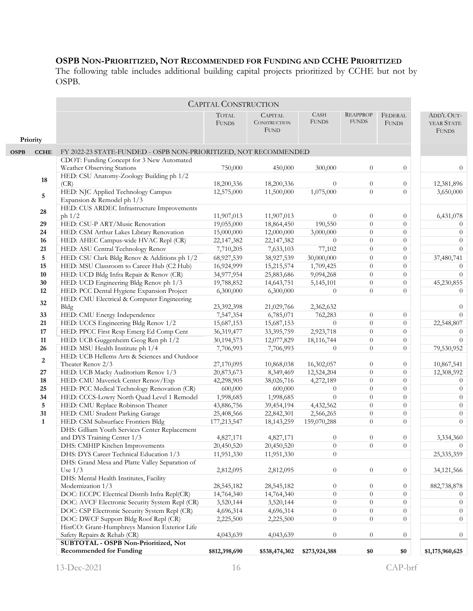## **OSPB NON-PRIORITIZED, NOT RECOMMENDED FOR FUNDING AND CCHE PRIORITIZED**

The following table includes additional building capital projects prioritized by CCHE but not by OSPB.

|             |                    | <b>CAPITAL CONSTRUCTION</b>                                                          |                              |                                               |                             |                                  |                                  |                                          |
|-------------|--------------------|--------------------------------------------------------------------------------------|------------------------------|-----------------------------------------------|-----------------------------|----------------------------------|----------------------------------|------------------------------------------|
| Priority    |                    |                                                                                      | <b>TOTAL</b><br><b>FUNDS</b> | <b>CAPITAL</b><br>CONSTRUCTION<br><b>FUND</b> | <b>CASH</b><br><b>FUNDS</b> | <b>REAPPROP</b><br><b>FUNDS</b>  | FEDERAL<br><b>FUNDS</b>          | ADD'L OUT-<br>YEAR STATE<br><b>FUNDS</b> |
| <b>OSPB</b> | <b>CCHE</b>        | FY 2022-23 STATE-FUNDED - OSPB NON-PRIORITIZED, NOT RECOMMENDED                      |                              |                                               |                             |                                  |                                  |                                          |
|             |                    | CDOT: Funding Concept for 3 New Automated                                            |                              |                                               |                             |                                  |                                  |                                          |
|             |                    | Weather Observing Stations                                                           | 750,000                      | 450,000                                       | 300,000                     | $\overline{0}$                   | $\overline{0}$                   | $\overline{0}$                           |
|             | 18                 | HED: CSU Anatomy-Zoology Building ph 1/2                                             |                              |                                               |                             |                                  |                                  |                                          |
|             |                    | (CR)                                                                                 | 18,200,336                   | 18,200,336                                    | $\overline{0}$              | $\overline{0}$                   | $\overline{0}$                   | 12,381,896                               |
|             | 5                  | HED: NJC Applied Technology Campus                                                   | 12,575,000                   | 11,500,000                                    | 1,075,000                   | $\overline{0}$                   | $\overline{0}$                   | 3,650,000                                |
|             |                    | Expansion & Remodel ph 1/3                                                           |                              |                                               |                             |                                  |                                  |                                          |
|             | 28                 | HED: CUS ARDEC Infrastructure Improvements                                           |                              |                                               |                             |                                  |                                  |                                          |
|             | 29                 | ph $1/2$<br>HED: CSU-P ART/Music Renovation                                          | 11,907,013<br>19,055,000     | 11,907,013                                    | $\theta$<br>190,550         | $\overline{0}$<br>$\overline{0}$ | $\theta$<br>$\overline{0}$       | 6,431,078<br>$\theta$                    |
|             | 24                 | HED: CSM Arthur Lakes Library Renovation                                             | 15,000,000                   | 18,864,450<br>12,000,000                      | 3,000,000                   | $\overline{0}$                   | $\overline{0}$                   | $\theta$                                 |
|             | 16                 | HED: AHEC Campus-wide HVAC Repl (CR)                                                 | 22,147,382                   | 22,147,382                                    | $\theta$                    | $\overline{0}$                   | $\overline{0}$                   | $\theta$                                 |
|             | 21                 | HED: ASU Central Technology Renov                                                    | 7,710,205                    | 7,633,103                                     | 77,102                      | $\overline{0}$                   | $\overline{0}$                   | $\boldsymbol{0}$                         |
|             | 5                  | HED: CSU Clark Bldg Renov & Additions ph 1/2                                         | 68,927,539                   | 38,927,539                                    | 30,000,000                  | $\theta$                         | $\overline{0}$                   | 37,480,741                               |
|             | 15                 | HED: MSU Classroom to Career Hub (C2 Hub)                                            | 16,924,999                   | 15,215,574                                    | 1,709,425                   | $\theta$                         | $\overline{0}$                   | $\theta$                                 |
|             | $10\,$             | HED: UCD Bldg Infra Repair & Renov (CR)                                              | 34,977,954                   | 25,883,686                                    | 9,094,268                   | $\overline{0}$                   | $\overline{0}$                   | $\theta$                                 |
|             | 30                 | HED: UCD Engineering Bldg Renov ph 1/3                                               | 19,788,852                   | 14,643,751                                    | 5,145,101                   | $\theta$                         | $\overline{0}$                   | 45,230,855                               |
|             | 12                 | HED: PCC Dental Hygiene Expansion Project                                            | 6,300,000                    | 6,300,000                                     | $\theta$                    | $\overline{0}$                   | $\overline{0}$                   | $\overline{0}$                           |
|             |                    | HED: CMU Electrical & Computer Engineering                                           |                              |                                               |                             |                                  |                                  |                                          |
|             | 32                 | Bldg                                                                                 | 23,392,398                   | 21,029,766                                    | 2,362,632                   |                                  |                                  | $\overline{0}$                           |
|             | 33                 | HED: CMU Energy Independence                                                         | 7,547,354                    | 6,785,071                                     | 762,283                     | $\theta$                         | $\overline{0}$                   | $\theta$                                 |
|             | 21                 | HED: UCCS Engineering Bldg Renov 1/2                                                 | 15,687,153                   | 15,687,153                                    | $\theta$                    | $\overline{0}$                   | $\overline{0}$                   | 22,548,807                               |
|             | 17                 | HED: PPCC First Resp Emerg Ed Comp Cent                                              | 36,319,477                   | 33,395,759                                    | 2,923,718                   | $\overline{0}$                   | $\overline{0}$                   | $\Omega$                                 |
|             | 11                 | HED: UCB Guggenheim Geog Ren ph 1/2                                                  | 30,194,573                   | 12,077,829                                    | 18,116,744                  | $\overline{0}$                   | $\overline{0}$                   | $\Omega$                                 |
|             | 26                 | HED: MSU Health Institute ph 1/4                                                     | 7,706,993                    | 7,706,993                                     | $\theta$                    | $\overline{0}$                   | $\overline{0}$                   | 79,530,952                               |
|             | $\boldsymbol{2}$   | HED: UCB Hellems Arts & Sciences and Outdoor                                         |                              |                                               |                             |                                  |                                  |                                          |
|             |                    | Theater Renov 2/3                                                                    | 27,170,095                   | 10,868,038                                    | 16,302,057                  | $\theta$                         | $\overline{0}$                   | 10,867,541                               |
|             | 27                 | HED: UCB Macky Auditorium Renov 1/3                                                  | 20,873,673                   | 8,349,469                                     | 12,524,204                  | $\overline{0}$                   | $\overline{0}$                   | 12,308,592                               |
|             | 18                 | HED: CMU Maverick Center Renov/Exp                                                   | 42,298,905                   | 38,026,716                                    | 4,272,189                   | $\overline{0}$                   | $\theta$                         | $\theta$                                 |
|             | 25                 | HED: PCC Medical Technology Renovation (CR)                                          | 600,000                      | 600,000                                       | $\theta$                    | $\theta$                         | $\overline{0}$                   | $\theta$                                 |
|             | 34                 | HED: CCCS-Lowry North Quad Level 1 Remodel                                           | 1,998,685                    | 1,998,685                                     | $\theta$                    | $\theta$                         | $\theta$                         | $\overline{0}$                           |
|             | 5                  | HED: CMU Replace Robinson Theater                                                    | 43,886,756                   | 39,454,194                                    | 4,432,562                   | $\theta$                         | $\overline{0}$                   | $\theta$                                 |
|             | 31<br>$\mathbf{1}$ | HED: CMU Student Parking Garage                                                      | 25,408,566<br>177, 213, 547  | 22,842,301                                    | 2,566,265                   | $\overline{0}$<br>$\overline{0}$ | $\overline{0}$<br>$\overline{0}$ | $\overline{0}$<br>$\theta$               |
|             |                    | HED: CSM Subsurface Frontiers Bldg<br>DHS: Gilliam Youth Services Center Replacement |                              | 18, 143, 259                                  | 159,070,288                 |                                  |                                  |                                          |
|             |                    | and DYS Training Center 1/3                                                          | 4,827,171                    | 4,827,171                                     | $\overline{0}$              | $\overline{0}$                   | $\theta$                         | 3,334,360                                |
|             |                    | DHS: CMHIP Kitchen Improvements                                                      | 20,450,520                   | 20,450,520                                    | $\boldsymbol{0}$            | $\overline{0}$                   | $\boldsymbol{0}$                 | $\overline{0}$                           |
|             |                    | DHS: DYS Career Technical Education 1/3                                              | 11,951,330                   | 11,951,330                                    | $\overline{0}$              |                                  |                                  | 25,335,359                               |
|             |                    | DHS: Grand Mesa and Platte Valley Separation of                                      |                              |                                               |                             |                                  |                                  |                                          |
|             |                    | Use $1/3$                                                                            | 2,812,095                    | 2,812,095                                     | $\boldsymbol{0}$            | $\overline{0}$                   | $\overline{0}$                   | 34, 121, 566                             |
|             |                    | DHS: Mental Health Institutes, Facility                                              |                              |                                               |                             |                                  |                                  |                                          |
|             |                    | Modernization 1/3                                                                    | 28,545,182                   | 28,545,182                                    | $\overline{0}$              | $\overline{0}$                   | $\overline{0}$                   | 882,738,878                              |
|             |                    | DOC: ECCPC Electrical Distrib Infra Repl(CR)                                         | 14,764,340                   | 14,764,340                                    | $\theta$                    | $\Omega$                         | $\overline{0}$                   | $\theta$                                 |
|             |                    | DOC: AVCF Electronic Security System Repl (CR)                                       | 3,520,144                    | 3,520,144                                     | $\overline{0}$              | $\overline{0}$                   | $\overline{0}$                   | $\overline{0}$                           |
|             |                    | DOC: CSP Electronic Security System Repl (CR)                                        | 4,696,314                    | 4,696,314                                     | $\boldsymbol{0}$            | $\overline{0}$                   | $\overline{0}$                   | $\overline{0}$                           |
|             |                    | DOC: DWCF Support Bldg Roof Repl (CR)                                                | 2,225,500                    | 2,225,500                                     | $\boldsymbol{0}$            | $\overline{0}$                   | $\overline{0}$                   | $\theta$                                 |
|             |                    | HistCO: Grant-Humphreys Mansion Exterior Life                                        |                              |                                               |                             |                                  |                                  |                                          |
|             |                    | Safety Repairs & Rehab (CR)                                                          | 4,043,639                    | 4,043,639                                     | $\overline{0}$              | $\overline{0}$                   | $\overline{0}$                   | $\theta$                                 |
|             |                    | SUBTOTAL - OSPB Non-Prioritized, Not<br><b>Recommended for Funding</b>               | \$812,398,690                | \$538,474,302                                 |                             | \$0                              | \$0                              | \$1,175,960,625                          |
|             |                    |                                                                                      |                              |                                               | \$273,924,388               |                                  |                                  |                                          |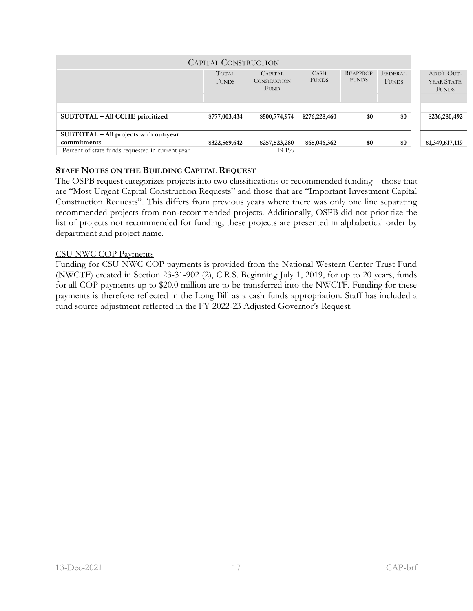| <b>CAPITAL CONSTRUCTION</b>                          |                              |                                                      |                             |                                 |                         |                                          |  |
|------------------------------------------------------|------------------------------|------------------------------------------------------|-----------------------------|---------------------------------|-------------------------|------------------------------------------|--|
|                                                      | <b>TOTAL</b><br><b>FUNDS</b> | <b>CAPITAL</b><br><b>CONSTRUCTION</b><br><b>FUND</b> | <b>CASH</b><br><b>FUNDS</b> | <b>REAPPROP</b><br><b>FUNDS</b> | FEDERAL<br><b>FUNDS</b> | ADD'L OUT-<br>YEAR STATE<br><b>FUNDS</b> |  |
| SUBTOTAL – All CCHE prioritized                      | \$777,003,434                | \$500,774,974                                        | \$276,228,460               | \$0                             | \$0                     | \$236,280,492                            |  |
| SUBTOTAL – All projects with out-year<br>commitments | \$322,569,642                | \$257,523,280                                        | \$65,046,362                | \$0                             | \$0                     | \$1,349,617,119                          |  |
| Percent of state funds requested in current year     |                              | $19.1\%$                                             |                             |                                 |                         |                                          |  |

#### **STAFF NOTES ON THE BUILDING CAPITAL REQUEST**

The OSPB request categorizes projects into two classifications of recommended funding – those that are "Most Urgent Capital Construction Requests" and those that are "Important Investment Capital Construction Requests". This differs from previous years where there was only one line separating recommended projects from non-recommended projects. Additionally, OSPB did not prioritize the list of projects not recommended for funding; these projects are presented in alphabetical order by department and project name.

#### CSU NWC COP Payments

Funding for CSU NWC COP payments is provided from the National Western Center Trust Fund (NWCTF) created in Section 23-31-902 (2), C.R.S. Beginning July 1, 2019, for up to 20 years, funds for all COP payments up to \$20.0 million are to be transferred into the NWCTF. Funding for these payments is therefore reflected in the Long Bill as a cash funds appropriation. Staff has included a fund source adjustment reflected in the FY 2022-23 Adjusted Governor's Request.